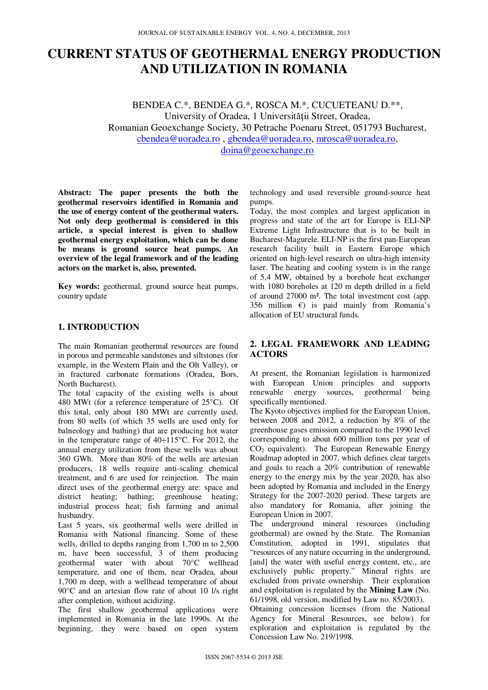# **CURRENT STATUS OF GEOTHERMAL ENERGY PRODUCTION AND UTILIZATION IN ROMANIA**

BENDEA C.\*, BENDEA G.\*, ROSCA M.\*, CUCUETEANU D.\*\*, University of Oradea, 1 Universității Street, Oradea, Romanian Geoexchange Society, 30 Petrache Poenaru Street, 051793 Bucharest, cbendea@uoradea.ro , gbendea@uoradea.ro, mrosca@uoradea.ro, doina@geoexchange.ro

**Abstract: The paper presents the both the geothermal reservoirs identified in Romania and the use of energy content of the geothermal waters. Not only deep geothermal is considered in this article, a special interest is given to shallow geothermal energy exploitation, which can be done be means is ground source heat pumps. An overview of the legal framework and of the leading actors on the market is, also, presented.** 

**Key words:** geothermal, ground source heat pumps, country update

## **1. INTRODUCTION**

The main Romanian geothermal resources are found in porous and permeable sandstones and siltstones (for example, in the Western Plain and the Olt Valley), or in fractured carbonate formations (Oradea, Bors, North Bucharest).

The total capacity of the existing wells is about 480 MWt (for a reference temperature of 25°C). Of this total, only about 180 MWt are currently used, from 80 wells (of which 35 wells are used only for balneology and bathing) that are producing hot water in the temperature range of 40÷115°C. For 2012, the annual energy utilization from these wells was about 360 GWh. More than 80% of the wells are artesian producers, 18 wells require anti-scaling chemical treatment, and 6 are used for reinjection. The main direct uses of the geothermal energy are: space and district heating; bathing; greenhouse heating; industrial process heat; fish farming and animal husbandry.

Last 5 years, six geothermal wells were drilled in Romania with National financing. Some of these wells, drilled to depths ranging from 1,700 m to 2,500 m, have been successful, 3 of them producing geothermal water with about 70°C wellhead temperature, and one of them, near Oradea, about 1,700 m deep, with a wellhead temperature of about 90°C and an artesian flow rate of about 10 l/s right after completion, without acidizing.

The first shallow geothermal applications were implemented in Romania in the late 1990s. At the beginning, they were based on open system technology and used reversible ground-source heat pumps.

Today, the most complex and largest application in progress and state of the art for Europe is ELI-NP Extreme Light Infrastructure that is to be built in Bucharest-Magurele. ELI-NP is the first pan-European research facility built in Eastern Europe which oriented on high-level research on ultra-high intensity laser. The heating and cooling system is in the range of 5,4 MW, obtained by a borehole heat exchanger with 1080 boreholes at 120 m depth drilled in a field of around 27000 m². The total investment cost (app. 356 million  $\varepsilon$ ) is paid mainly from Romania's allocation of EU structural funds.

#### **2. LEGAL FRAMEWORK AND LEADING ACTORS**

At present, the Romanian legislation is harmonized with European Union principles and supports renewable energy sources, geothermal being specifically mentioned.

The Kyoto objectives implied for the European Union, between 2008 and 2012, a reduction by 8% of the greenhouse gases emission compared to the 1990 level (corresponding to about 600 million tons per year of  $CO<sub>2</sub>$  equivalent). The European Renewable Energy Roadmap adopted in 2007, which defines clear targets and goals to reach a 20% contribution of renewable energy to the energy mix by the year 2020, has also been adopted by Romania and included in the Energy Strategy for the 2007-2020 period. These targets are also mandatory for Romania, after joining the European Union in 2007.

The underground mineral resources (including geothermal) are owned by the State. The Romanian Constitution, adopted in 1991, stipulates that "resources of any nature occurring in the underground, [and] the water with useful energy content, etc., are exclusively public property." Mineral rights are excluded from private ownership. Their exploration and exploitation is regulated by the **Mining Law** (No. 61/1998, old version, modified by Law no. 85/2003).

Obtaining concession licenses (from the National Agency for Mineral Resources, see below) for exploration and exploitation is regulated by the Concession Law No. 219/1998.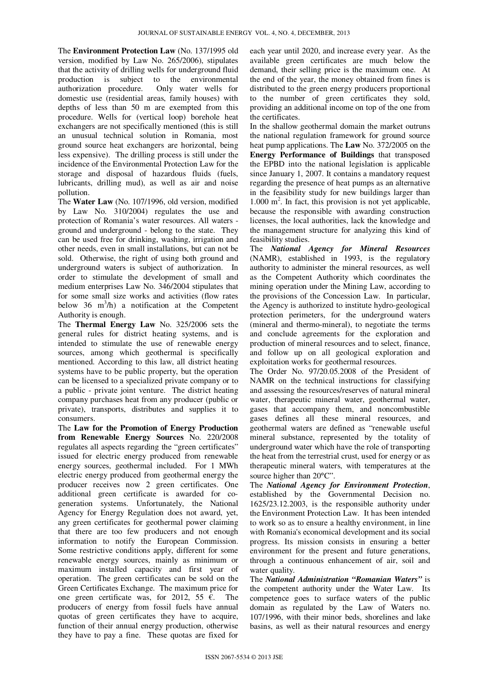The **Environment Protection Law** (No. 137/1995 old version, modified by Law No. 265/2006), stipulates that the activity of drilling wells for underground fluid production is subject to the environmental authorization procedure. Only water wells for domestic use (residential areas, family houses) with depths of less than 50 m are exempted from this procedure. Wells for (vertical loop) borehole heat exchangers are not specifically mentioned (this is still an unusual technical solution in Romania, most ground source heat exchangers are horizontal, being less expensive). The drilling process is still under the incidence of the Environmental Protection Law for the storage and disposal of hazardous fluids (fuels, lubricants, drilling mud), as well as air and noise pollution.

The **Water Law** (No. 107/1996, old version, modified by Law No. 310/2004) regulates the use and protection of Romania's water resources. All waters ground and underground - belong to the state. They can be used free for drinking, washing, irrigation and other needs, even in small installations, but can not be sold. Otherwise, the right of using both ground and underground waters is subject of authorization. In order to stimulate the development of small and medium enterprises Law No. 346/2004 stipulates that for some small size works and activities (flow rates below 36  $m^3/h$ ) a notification at the Competent Authority is enough.

The **Thermal Energy Law** No. 325/2006 sets the general rules for district heating systems, and is intended to stimulate the use of renewable energy sources, among which geothermal is specifically mentioned. According to this law, all district heating systems have to be public property, but the operation can be licensed to a specialized private company or to a public - private joint venture. The district heating company purchases heat from any producer (public or private), transports, distributes and supplies it to consumers.

The **Law for the Promotion of Energy Production from Renewable Energy Sources** No. 220/2008 regulates all aspects regarding the "green certificates" issued for electric energy produced from renewable energy sources, geothermal included. For 1 MWh electric energy produced from geothermal energy the producer receives now 2 green certificates. One additional green certificate is awarded for cogeneration systems. Unfortunately, the National Agency for Energy Regulation does not award, yet, any green certificates for geothermal power claiming that there are too few producers and not enough information to notify the European Commission. Some restrictive conditions apply, different for some renewable energy sources, mainly as minimum or maximum installed capacity and first year of operation. The green certificates can be sold on the Green Certificates Exchange. The maximum price for one green certificate was, for 2012, 55  $\epsilon$ . The producers of energy from fossil fuels have annual quotas of green certificates they have to acquire, function of their annual energy production, otherwise they have to pay a fine. These quotas are fixed for

each year until 2020, and increase every year. As the available green certificates are much below the demand, their selling price is the maximum one. At the end of the year, the money obtained from fines is distributed to the green energy producers proportional to the number of green certificates they sold, providing an additional income on top of the one from the certificates.

In the shallow geothermal domain the market outruns the national regulation framework for ground source heat pump applications. The **Law** No. 372/2005 on the **Energy Performance of Buildings** that transposed the EPBD into the national legislation is applicable since January 1, 2007. It contains a mandatory request regarding the presence of heat pumps as an alternative in the feasibility study for new buildings larger than 1.000 m<sup>2</sup>. In fact, this provision is not yet applicable, because the responsible with awarding construction licenses, the local authorities, lack the knowledge and the management structure for analyzing this kind of feasibility studies.

The *National Agency for Mineral Resources* (NAMR), established in 1993, is the regulatory authority to administer the mineral resources, as well as the Competent Authority which coordinates the mining operation under the Mining Law, according to the provisions of the Concession Law. In particular, the Agency is authorized to institute hydro-geological protection perimeters, for the underground waters (mineral and thermo-mineral), to negotiate the terms and conclude agreements for the exploration and production of mineral resources and to select, finance, and follow up on all geological exploration and exploitation works for geothermal resources.

The Order No. 97/20.05.2008 of the President of NAMR on the technical instructions for classifying and assessing the resources/reserves of natural mineral water, therapeutic mineral water, geothermal water, gases that accompany them, and noncombustible gases defines all these mineral resources, and geothermal waters are defined as "renewable useful mineral substance, represented by the totality of underground water which have the role of transporting the heat from the terrestrial crust, used for energy or as therapeutic mineral waters, with temperatures at the source higher than  $20^{\circ}$ C".

The *National Agency for Environment Protection*, established by the Governmental Decision no. 1625/23.12.2003, is the responsible authority under the Environment Protection Law. It has been intended to work so as to ensure a healthy environment, in line with Romania's economical development and its social progress. Its mission consists in ensuring a better environment for the present and future generations, through a continuous enhancement of air, soil and water quality.

The *National Administration "Romanian Waters"* is the competent authority under the Water Law. Its competence goes to surface waters of the public domain as regulated by the Law of Waters no. 107/1996, with their minor beds, shorelines and lake basins, as well as their natural resources and energy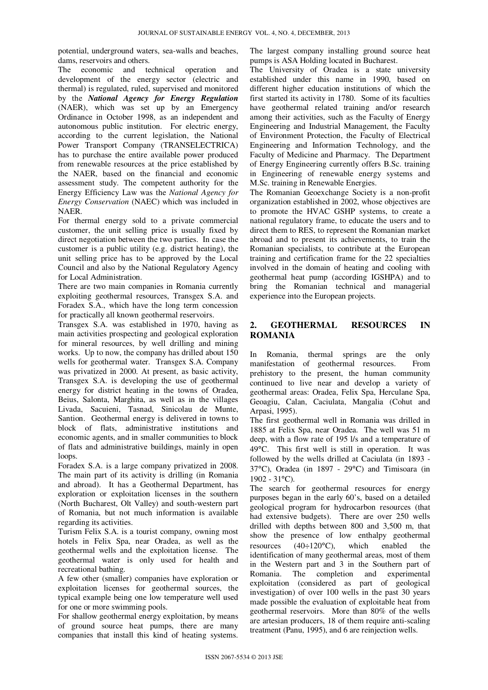potential, underground waters, sea-walls and beaches, dams, reservoirs and others.

The economic and technical operation and development of the energy sector (electric and thermal) is regulated, ruled, supervised and monitored by the *National Agency for Energy Regulation* (NAER), which was set up by an Emergency Ordinance in October 1998, as an independent and autonomous public institution. For electric energy, according to the current legislation, the National Power Transport Company (TRANSELECTRICA) has to purchase the entire available power produced from renewable resources at the price established by the NAER, based on the financial and economic assessment study. The competent authority for the Energy Efficiency Law was the *National Agency for Energy Conservation* (NAEC) which was included in NAER.

For thermal energy sold to a private commercial customer, the unit selling price is usually fixed by direct negotiation between the two parties. In case the customer is a public utility (e.g. district heating), the unit selling price has to be approved by the Local Council and also by the National Regulatory Agency for Local Administration.

There are two main companies in Romania currently exploiting geothermal resources, Transgex S.A. and Foradex S.A., which have the long term concession for practically all known geothermal reservoirs.

Transgex S.A. was established in 1970, having as main activities prospecting and geological exploration for mineral resources, by well drilling and mining works. Up to now, the company has drilled about 150 wells for geothermal water. Transgex S.A. Company was privatized in 2000. At present, as basic activity, Transgex S.A. is developing the use of geothermal energy for district heating in the towns of Oradea, Beius, Salonta, Marghita, as well as in the villages Livada, Sacuieni, Tasnad, Sinicolau de Munte, Santion. Geothermal energy is delivered in towns to block of flats, administrative institutions and economic agents, and in smaller communities to block of flats and administrative buildings, mainly in open loops.

Foradex S.A. is a large company privatized in 2008. The main part of its activity is drilling (in Romania and abroad). It has a Geothermal Department, has exploration or exploitation licenses in the southern (North Bucharest, Olt Valley) and south-western part of Romania, but not much information is available regarding its activities.

Turism Felix S.A. is a tourist company, owning most hotels in Felix Spa, near Oradea, as well as the geothermal wells and the exploitation license. The geothermal water is only used for health and recreational bathing.

A few other (smaller) companies have exploration or exploitation licenses for geothermal sources, the typical example being one low temperature well used for one or more swimming pools.

For shallow geothermal energy exploitation, by means of ground source heat pumps, there are many companies that install this kind of heating systems.

The largest company installing ground source heat pumps is ASA Holding located in Bucharest.

The University of Oradea is a state university established under this name in 1990, based on different higher education institutions of which the first started its activity in 1780. Some of its faculties have geothermal related training and/or research among their activities, such as the Faculty of Energy Engineering and Industrial Management, the Faculty of Environment Protection, the Faculty of Electrical Engineering and Information Technology, and the Faculty of Medicine and Pharmacy. The Department of Energy Engineering currently offers B.Sc. training in Engineering of renewable energy systems and M.Sc. training in Renewable Energies.

The Romanian Geoexchange Society is a non-profit organization established in 2002, whose objectives are to promote the HVAC GSHP systems, to create a national regulatory frame, to educate the users and to direct them to RES, to represent the Romanian market abroad and to present its achievements, to train the Romanian specialists, to contribute at the European training and certification frame for the 22 specialties involved in the domain of heating and cooling with geothermal heat pump (according IGSHPA) and to bring the Romanian technical and managerial experience into the European projects.

## **2. GEOTHERMAL RESOURCES IN ROMANIA**

In Romania, thermal springs are the only manifestation of geothermal resources. From prehistory to the present, the human community continued to live near and develop a variety of geothermal areas: Oradea, Felix Spa, Herculane Spa, Geoagiu, Calan, Caciulata, Mangalia (Cohut and Arpasi, 1995).

The first geothermal well in Romania was drilled in 1885 at Felix Spa, near Oradea. The well was 51 m deep, with a flow rate of 195 l/s and a temperature of 49°C. This first well is still in operation. It was followed by the wells drilled at Caciulata (in 1893 - 37°C), Oradea (in 1897 - 29°C) and Timisoara (in 1902 - 31°C).

The search for geothermal resources for energy purposes began in the early 60's, based on a detailed geological program for hydrocarbon resources (that had extensive budgets). There are over 250 wells drilled with depths between 800 and 3,500 m, that show the presence of low enthalpy geothermal resources (40÷120°C), which enabled the identification of many geothermal areas, most of them in the Western part and 3 in the Southern part of Romania. The completion and experimental exploitation (considered as part of geological investigation) of over 100 wells in the past 30 years made possible the evaluation of exploitable heat from geothermal reservoirs. More than 80% of the wells are artesian producers, 18 of them require anti-scaling treatment (Panu, 1995), and 6 are reinjection wells.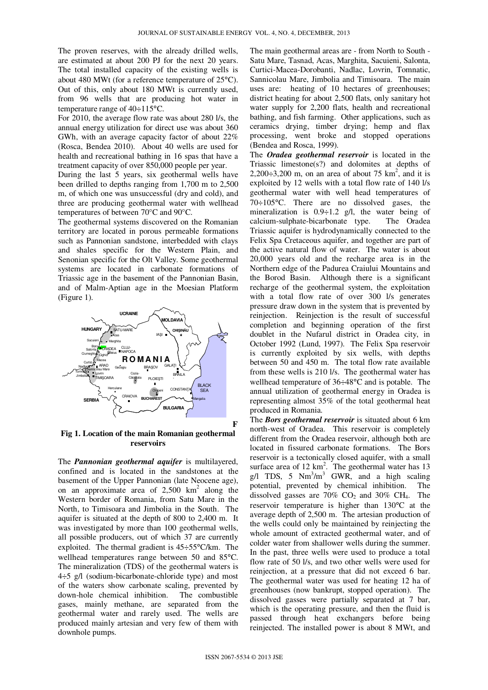The proven reserves, with the already drilled wells, are estimated at about 200 PJ for the next 20 years. The total installed capacity of the existing wells is about 480 MWt (for a reference temperature of 25°C). Out of this, only about 180 MWt is currently used, from 96 wells that are producing hot water in temperature range of 40÷115°C.

For 2010, the average flow rate was about 280 l/s, the annual energy utilization for direct use was about 360 GWh, with an average capacity factor of about 22% (Rosca, Bendea 2010). About 40 wells are used for health and recreational bathing in 16 spas that have a treatment capacity of over 850,000 people per year.

During the last 5 years, six geothermal wells have been drilled to depths ranging from 1,700 m to 2,500 m, of which one was unsuccessful (dry and cold), and three are producing geothermal water with wellhead temperatures of between 70°C and 90°C.

The geothermal systems discovered on the Romanian territory are located in porous permeable formations such as Pannonian sandstone, interbedded with clays and shales specific for the Western Plain, and Senonian specific for the Olt Valley. Some geothermal systems are located in carbonate formations of Triassic age in the basement of the Pannonian Basin, and of Malm-Aptian age in the Moesian Platform (Figure 1).



**Fig 1. Location of the main Romanian geothermal reservoirs**

The *Pannonian geothermal aquifer* is multilayered, confined and is located in the sandstones at the basement of the Upper Pannonian (late Neocene age), on an approximate area of  $2,500 \text{ km}^2$  along the Western border of Romania, from Satu Mare in the North, to Timisoara and Jimbolia in the South. The aquifer is situated at the depth of 800 to 2,400 m. It was investigated by more than 100 geothermal wells, all possible producers, out of which 37 are currently exploited. The thermal gradient is 45÷55°C/km. The wellhead temperatures range between 50 and 85°C. The mineralization (TDS) of the geothermal waters is 4÷5 g/l (sodium-bicarbonate-chloride type) and most of the waters show carbonate scaling, prevented by down-hole chemical inhibition. The combustible gases, mainly methane, are separated from the geothermal water and rarely used. The wells are produced mainly artesian and very few of them with downhole pumps.

The main geothermal areas are - from North to South - Satu Mare, Tasnad, Acas, Marghita, Sacuieni, Salonta, Curtici-Macea-Dorobanti, Nadlac, Lovrin, Tomnatic, Sannicolau Mare, Jimbolia and Timisoara. The main uses are: heating of 10 hectares of greenhouses; district heating for about 2,500 flats, only sanitary hot water supply for 2,200 flats, health and recreational bathing, and fish farming. Other applications, such as ceramics drying, timber drying; hemp and flax processing, went broke and stopped operations (Bendea and Rosca, 1999).

The *Oradea geothermal reservoir* is located in the Triassic limestone(s?) and dolomites at depths of  $2,200\div 3,200$  m, on an area of about 75 km<sup>2</sup>, and it is exploited by 12 wells with a total flow rate of 140 l/s geothermal water with well head temperatures of 70÷105°C. There are no dissolved gases, the mineralization is  $0.9 \div 1.2$  g/l, the water being of calcium-sulphate-bicarbonate type. The Oradea Triassic aquifer is hydrodynamically connected to the Felix Spa Cretaceous aquifer, and together are part of the active natural flow of water. The water is about 20,000 years old and the recharge area is in the Northern edge of the Padurea Craiului Mountains and the Borod Basin. Although there is a significant recharge of the geothermal system, the exploitation with a total flow rate of over 300 l/s generates pressure draw down in the system that is prevented by reinjection. Reinjection is the result of successful completion and beginning operation of the first doublet in the Nufarul district in Oradea city, in October 1992 (Lund, 1997). The Felix Spa reservoir is currently exploited by six wells, with depths between 50 and 450 m. The total flow rate available from these wells is 210 l/s. The geothermal water has wellhead temperature of 36÷48°C and is potable. The annual utilization of geothermal energy in Oradea is representing almost 35% of the total geothermal heat produced in Romania.

The *Bors geothermal reservoir* is situated about 6 km north-west of Oradea. This reservoir is completely different from the Oradea reservoir, although both are located in fissured carbonate formations. The Bors reservoir is a tectonically closed aquifer, with a small surface area of  $12 \text{ km}^2$ . The geothermal water has  $13$ g/l TDS, 5  $Nm^3/m^3$  GWR, and a high scaling potential, prevented by chemical inhibition. The dissolved gasses are 70%  $CO<sub>2</sub>$  and 30%  $CH<sub>4</sub>$ . The reservoir temperature is higher than 130°C at the average depth of 2,500 m. The artesian production of the wells could only be maintained by reinjecting the whole amount of extracted geothermal water, and of colder water from shallower wells during the summer. In the past, three wells were used to produce a total flow rate of 50 l/s, and two other wells were used for reinjection, at a pressure that did not exceed 6 bar. The geothermal water was used for heating 12 ha of greenhouses (now bankrupt, stopped operation). The dissolved gasses were partially separated at 7 bar, which is the operating pressure, and then the fluid is passed through heat exchangers before being reinjected. The installed power is about 8 MWt, and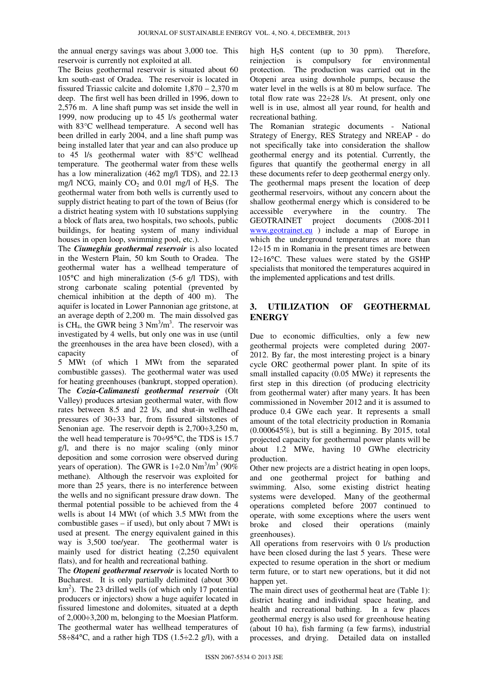the annual energy savings was about 3,000 toe. This reservoir is currently not exploited at all.

The Beius geothermal reservoir is situated about 60 km south-east of Oradea. The reservoir is located in fissured Triassic calcite and dolomite 1,870 – 2,370 m deep. The first well has been drilled in 1996, down to 2,576 m. A line shaft pump was set inside the well in 1999, now producing up to 45 l/s geothermal water with 83°C wellhead temperature. A second well has been drilled in early 2004, and a line shaft pump was being installed later that year and can also produce up to 45 l/s geothermal water with 85°C wellhead temperature. The geothermal water from these wells has a low mineralization (462 mg/l TDS), and 22.13 mg/l NCG, mainly  $CO_2$  and 0.01 mg/l of H<sub>2</sub>S. The geothermal water from both wells is currently used to supply district heating to part of the town of Beius (for a district heating system with 10 substations supplying a block of flats area, two hospitals, two schools, public buildings, for heating system of many individual houses in open loop, swimming pool, etc.).

The *Ciumeghiu geothermal reservoir* is also located in the Western Plain, 50 km South to Oradea. The geothermal water has a wellhead temperature of 105°C and high mineralization (5-6 g/l TDS), with strong carbonate scaling potential (prevented by chemical inhibition at the depth of 400 m). The aquifer is located in Lower Pannonian age gritstone, at an average depth of 2,200 m. The main dissolved gas is CH<sub>4</sub>, the GWR being  $3 \text{ Nm}^3/\text{m}^3$ . The reservoir was investigated by 4 wells, but only one was in use (until the greenhouses in the area have been closed), with a capacity of

5 MWt (of which 1 MWt from the separated combustible gasses). The geothermal water was used for heating greenhouses (bankrupt, stopped operation). The *Cozia-Calimanesti geothermal reservoir* (Olt Valley) produces artesian geothermal water, with flow rates between 8.5 and 22 l/s, and shut-in wellhead pressures of 30÷33 bar, from fissured siltstones of Senonian age. The reservoir depth is 2,700÷3,250 m, the well head temperature is 70÷95°C, the TDS is 15.7 g/l, and there is no major scaling (only minor deposition and some corrosion were observed during years of operation). The GWR is  $1\div 2.0 \text{ Nm}^3/\text{m}^3$  (90%) methane). Although the reservoir was exploited for more than 25 years, there is no interference between the wells and no significant pressure draw down. The thermal potential possible to be achieved from the 4 wells is about 14 MWt (of which 3.5 MWt from the combustible gases – if used), but only about 7 MWt is used at present. The energy equivalent gained in this way is 3,500 toe/year. The geothermal water is mainly used for district heating (2,250 equivalent flats), and for health and recreational bathing.

The *Otopeni geothermal reservoir* is located North to Bucharest. It is only partially delimited (about 300  $km<sup>2</sup>$ ). The 23 drilled wells (of which only 17 potential producers or injectors) show a huge aquifer located in fissured limestone and dolomites, situated at a depth of 2,000÷3,200 m, belonging to the Moesian Platform. The geothermal water has wellhead temperatures of  $58 \div 84^{\circ}$ C, and a rather high TDS (1.5 $\div$ 2.2 g/l), with a

high  $H<sub>2</sub>S$  content (up to 30 ppm). Therefore, reinjection is compulsory for environmental protection. The production was carried out in the Otopeni area using downhole pumps, because the water level in the wells is at 80 m below surface. The total flow rate was 22÷28 l/s. At present, only one well is in use, almost all year round, for health and recreational bathing.

The Romanian strategic documents - National Strategy of Energy, RES Strategy and NREAP - do not specifically take into consideration the shallow geothermal energy and its potential. Currently, the figures that quantify the geothermal energy in all these documents refer to deep geothermal energy only. The geothermal maps present the location of deep geothermal reservoirs, without any concern about the shallow geothermal energy which is considered to be accessible everywhere in the country. The GEOTRAINET project documents (2008-2011 www.geotrainet.eu ) include a map of Europe in which the underground temperatures at more than 12÷15 m in Romania in the present times are between  $12\div16^{\circ}$ C. These values were stated by the GSHP specialists that monitored the temperatures acquired in the implemented applications and test drills.

## **3. UTILIZATION OF GEOTHERMAL ENERGY**

Due to economic difficulties, only a few new geothermal projects were completed during 2007- 2012. By far, the most interesting project is a binary cycle ORC geothermal power plant. In spite of its small installed capacity (0.05 MWe) it represents the first step in this direction (of producing electricity from geothermal water) after many years. It has been commissioned in November 2012 and it is assumed to produce 0.4 GWe each year. It represents a small amount of the total electricity production in Romania  $(0.000645\%)$ , but is still a beginning. By 2015, total projected capacity for geothermal power plants will be about 1.2 MWe, having 10 GWhe electricity production.

Other new projects are a district heating in open loops, and one geothermal project for bathing and swimming. Also, some existing district heating systems were developed. Many of the geothermal operations completed before 2007 continued to operate, with some exceptions where the users went broke and closed their operations (mainly greenhouses).

All operations from reservoirs with 0 l/s production have been closed during the last 5 years. These were expected to resume operation in the short or medium term future, or to start new operations, but it did not happen yet.

The main direct uses of geothermal heat are (Table 1): district heating and individual space heating, and health and recreational bathing. In a few places geothermal energy is also used for greenhouse heating (about 10 ha), fish farming (a few farms), industrial processes, and drying. Detailed data on installed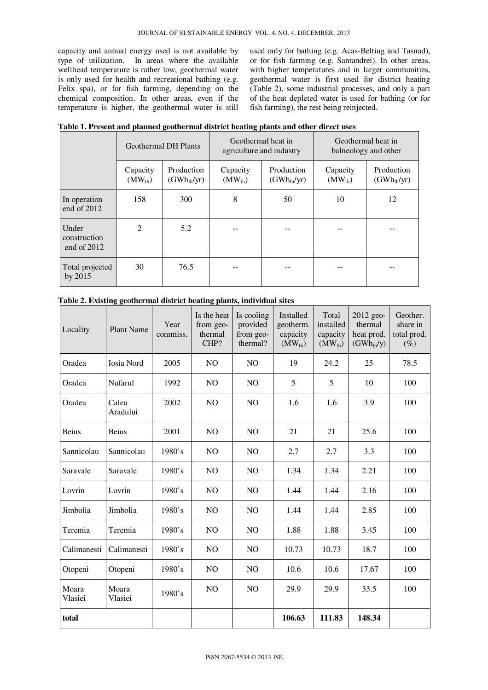capacity and annual energy used is not available by type of utilization. In areas where the available wellhead temperature is rather low, geothermal water is only used for health and recreational bathing (e.g. Felix spa), or for fish farming, depending on the chemical composition. In other areas, even if the temperature is higher, the geothermal water is still used only for bathing (e.g. Acas-Beltiug and Tasnad), or for fish farming (e.g. Santandrei). In other areas, with higher temperatures and in larger communities, geothermal water is first used for district heating (Table 2), some industrial processes, and only a part of the heat depleted water is used for bathing (or for fish farming), the rest being reinjected.

|                                      | <b>Geothermal DH Plants</b> |                               |                         | Geothermal heat in<br>agriculture and industry | Geothermal heat in<br>balneology and other |                               |  |
|--------------------------------------|-----------------------------|-------------------------------|-------------------------|------------------------------------------------|--------------------------------------------|-------------------------------|--|
|                                      | Capacity<br>$(MW_{th})$     | Production<br>$(GWh_{th}/yr)$ | Capacity<br>$(MW_{th})$ | Production<br>$(GWh_{th}/yr)$                  | Capacity<br>$(MW_{th})$                    | Production<br>$(GWh_{th}/yr)$ |  |
| In operation<br>end of 2012          | 158                         | 300                           | 8                       | 50                                             | 10                                         | 12                            |  |
| Under<br>construction<br>end of 2012 | $\mathfrak{D}$              | 5.2                           |                         |                                                |                                            |                               |  |
| Total projected<br>by 2015           | 30                          | 76.5                          |                         |                                                |                                            |                               |  |

|  |  |  | Table 1. Present and planned geothermal district heating plants and other direct uses |
|--|--|--|---------------------------------------------------------------------------------------|
|--|--|--|---------------------------------------------------------------------------------------|

| Locality         | <b>Plant Name</b> | Year<br>commiss. | Is the heat<br>from geo-<br>thermal<br>CHP? | Is cooling<br>provided<br>from geo-<br>thermal? | Installed<br>geotherm.<br>capacity<br>$(MW_{th})$ | Total<br>installed<br>capacity<br>$(MW_{th})$ | 2012 geo-<br>thermal<br>heat prod.<br>$(GWh_{th}/y)$ | Geother.<br>share in<br>total prod.<br>$(\%)$ |
|------------------|-------------------|------------------|---------------------------------------------|-------------------------------------------------|---------------------------------------------------|-----------------------------------------------|------------------------------------------------------|-----------------------------------------------|
| Oradea           | Iosia Nord        | 2005             | N <sub>O</sub>                              | N <sub>O</sub>                                  | 19                                                | 24.2                                          | 25                                                   | 78.5                                          |
| Oradea           | Nufarul           | 1992             | N <sub>O</sub>                              | N <sub>O</sub>                                  | 5                                                 | 5                                             | 10                                                   | 100                                           |
| Oradea           | Calea<br>Aradului | 2002             | NO                                          | N <sub>O</sub>                                  | 1.6                                               | 1.6                                           | 3.9                                                  | 100                                           |
| <b>Beius</b>     | Beius             | 2001             | NO                                          | NO                                              | 21                                                | 21                                            | 25.6                                                 | 100                                           |
| Sannicolau       | Sannicolau        | 1980's           | NO                                          | NO                                              | 2.7                                               | 2.7                                           | 3.3                                                  | 100                                           |
| Saravale         | Saravale          | 1980's           | NO                                          | NO                                              | 1.34                                              | 1.34                                          | 2.21                                                 | 100                                           |
| Lovrin           | Lovrin            | 1980's           | N <sub>O</sub>                              | N <sub>O</sub>                                  | 1.44                                              | 1.44                                          | 2.16                                                 | 100                                           |
| Jimbolia         | Jimbolia          | 1980's           | N <sub>O</sub>                              | N <sub>O</sub>                                  | 1.44                                              | 1.44                                          | 2.85                                                 | 100                                           |
| Teremia          | Teremia           | 1980's           | NO                                          | N <sub>O</sub>                                  | 1.88                                              | 1.88                                          | 3.45                                                 | 100                                           |
| Calimanesti      | Calimanesti       | 1980's           | NO                                          | N <sub>O</sub>                                  | 10.73                                             | 10.73                                         | 18.7                                                 | 100                                           |
| Otopeni          | Otopeni           | 1980's           | NO.                                         | NO                                              | 10.6                                              | 10.6                                          | 17.67                                                | 100                                           |
| Moara<br>Vlasiei | Moara<br>Vlasiei  | 1980's           | NO.                                         | N <sub>O</sub>                                  | 29.9                                              | 29.9                                          | 33.5                                                 | 100                                           |
| total            |                   |                  |                                             |                                                 | 106.63                                            | 111.83                                        | 148.34                                               |                                               |

**Table 2. Existing geothermal district heating plants, individual sites**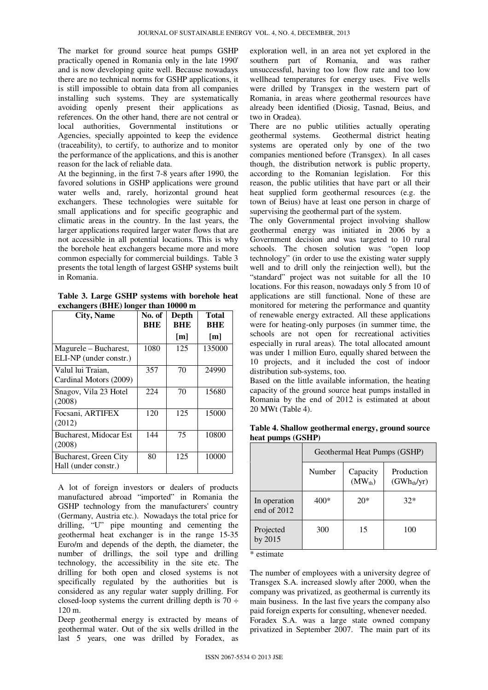The market for ground source heat pumps GSHP practically opened in Romania only in the late 1990' and is now developing quite well. Because nowadays there are no technical norms for GSHP applications, it is still impossible to obtain data from all companies installing such systems. They are systematically avoiding openly present their applications as references. On the other hand, there are not central or local authorities, Governmental institutions or Agencies, specially appointed to keep the evidence (traceability), to certify, to authorize and to monitor the performance of the applications, and this is another reason for the lack of reliable data.

At the beginning, in the first 7-8 years after 1990, the favored solutions in GSHP applications were ground water wells and, rarely, horizontal ground heat exchangers. These technologies were suitable for small applications and for specific geographic and climatic areas in the country. In the last years, the larger applications required larger water flows that are not accessible in all potential locations. This is why the borehole heat exchangers became more and more common especially for commercial buildings. Table 3 presents the total length of largest GSHP systems built in Romania.

**Table 3. Large GSHP systems with borehole heat exchangers (BHE) longer than 10000 m** 

| <b>City, Name</b>                               | No. of<br>BHE | Depth<br>BHE | <b>Total</b><br><b>BHE</b> |
|-------------------------------------------------|---------------|--------------|----------------------------|
|                                                 |               | [m]          | [m]                        |
| Magurele - Bucharest,<br>ELI-NP (under constr.) | 1080          | 125          | 135000                     |
| Valul lui Traian,<br>Cardinal Motors (2009)     | 357           | 70           | 24990                      |
| Snagov, Vila 23 Hotel<br>(2008)                 | 224           | 70           | 15680                      |
| Focsani, ARTIFEX<br>(2012)                      | 120           | 125          | 15000                      |
| Bucharest, Midocar Est<br>(2008)                | 144           | 75           | 10800                      |
| Bucharest, Green City<br>Hall (under constr.)   | 80            | 125          | 10000                      |

A lot of foreign investors or dealers of products manufactured abroad "imported" in Romania the GSHP technology from the manufacturers' country (Germany, Austria etc.). Nowadays the total price for drilling, "U" pipe mounting and cementing the geothermal heat exchanger is in the range 15-35 Euro/m and depends of the depth, the diameter, the number of drillings, the soil type and drilling technology, the accessibility in the site etc. The drilling for both open and closed systems is not specifically regulated by the authorities but is considered as any regular water supply drilling. For closed-loop systems the current drilling depth is  $70 \div$ 120 m.

Deep geothermal energy is extracted by means of geothermal water. Out of the six wells drilled in the last 5 years, one was drilled by Foradex, as

exploration well, in an area not yet explored in the southern part of Romania, and was rather unsuccessful, having too low flow rate and too low wellhead temperatures for energy uses. Five wells were drilled by Transgex in the western part of Romania, in areas where geothermal resources have already been identified (Diosig, Tasnad, Beius, and two in Oradea).

There are no public utilities actually operating geothermal systems. Geothermal district heating systems are operated only by one of the two companies mentioned before (Transgex). In all cases though, the distribution network is public property, according to the Romanian legislation. For this reason, the public utilities that have part or all their heat supplied form geothermal resources (e.g. the town of Beius) have at least one person in charge of supervising the geothermal part of the system.

The only Governmental project involving shallow geothermal energy was initiated in 2006 by a Government decision and was targeted to 10 rural schools. The chosen solution was "open loop technology" (in order to use the existing water supply well and to drill only the reinjection well), but the "standard" project was not suitable for all the 10 locations. For this reason, nowadays only 5 from 10 of applications are still functional. None of these are monitored for metering the performance and quantity of renewable energy extracted. All these applications were for heating-only purposes (in summer time, the schools are not open for recreational activities especially in rural areas). The total allocated amount was under 1 million Euro, equally shared between the 10 projects, and it included the cost of indoor distribution sub-systems, too.

Based on the little available information, the heating capacity of the ground source heat pumps installed in Romania by the end of 2012 is estimated at about 20 MWt (Table 4).

|                               | Geothermal Heat Pumps (GSHP) |                         |                                       |  |  |
|-------------------------------|------------------------------|-------------------------|---------------------------------------|--|--|
|                               | Number                       | Capacity<br>$(MW_{th})$ | Production<br>(GWh <sub>th</sub> /yr) |  |  |
| In operation<br>end of $2012$ | 400*                         | $20*$                   | $32*$                                 |  |  |
| Projected<br>by 2015          | 300                          | 15                      | 100                                   |  |  |

**Table 4. Shallow geothermal energy, ground source heat pumps (GSHP)**

\* estimate

The number of employees with a university degree of Transgex S.A. increased slowly after 2000, when the company was privatized, as geothermal is currently its main business. In the last five years the company also paid foreign experts for consulting, whenever needed. Foradex S.A. was a large state owned company privatized in September 2007. The main part of its